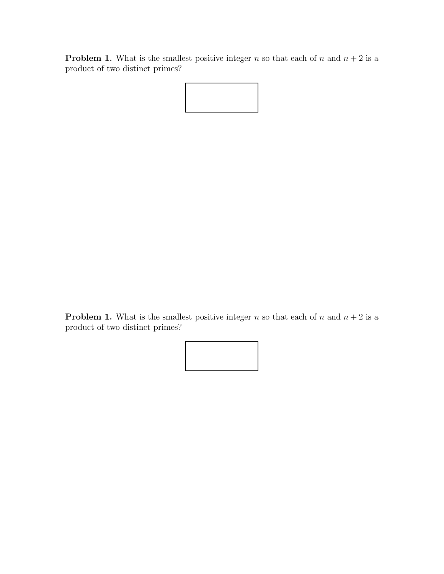**Problem 1.** What is the smallest positive integer n so that each of n and  $n + 2$  is a product of two distinct primes?

**Problem 1.** What is the smallest positive integer n so that each of n and  $n + 2$  is a product of two distinct primes?

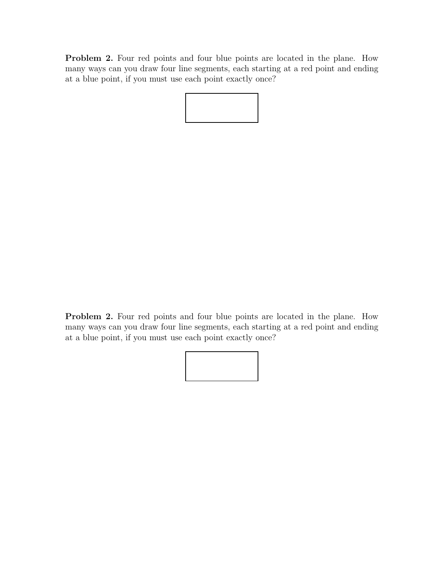Problem 2. Four red points and four blue points are located in the plane. How many ways can you draw four line segments, each starting at a red point and ending at a blue point, if you must use each point exactly once?

Problem 2. Four red points and four blue points are located in the plane. How many ways can you draw four line segments, each starting at a red point and ending at a blue point, if you must use each point exactly once?

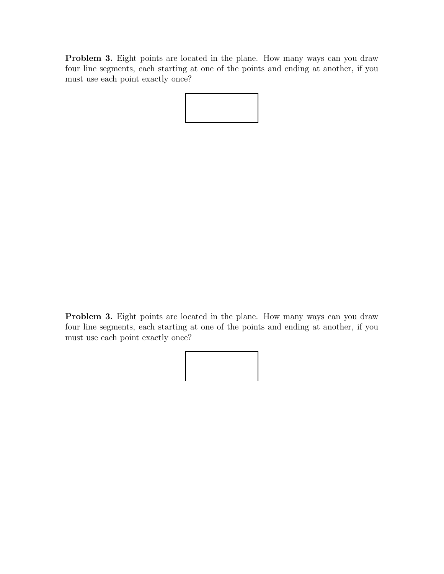Problem 3. Eight points are located in the plane. How many ways can you draw four line segments, each starting at one of the points and ending at another, if you must use each point exactly once?

Problem 3. Eight points are located in the plane. How many ways can you draw four line segments, each starting at one of the points and ending at another, if you must use each point exactly once?

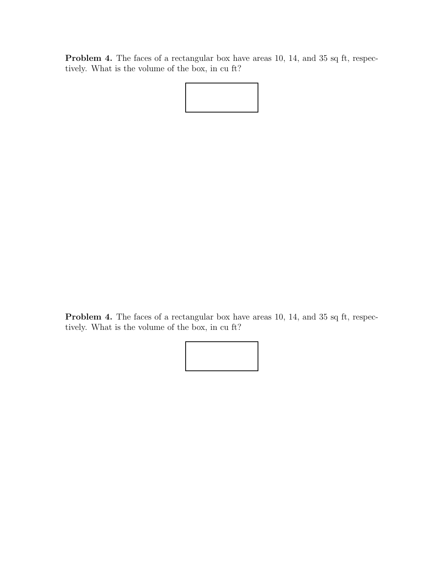Problem 4. The faces of a rectangular box have areas 10, 14, and 35 sq ft, respectively. What is the volume of the box, in cu ft?

Problem 4. The faces of a rectangular box have areas 10, 14, and 35 sq ft, respectively. What is the volume of the box, in cu ft?

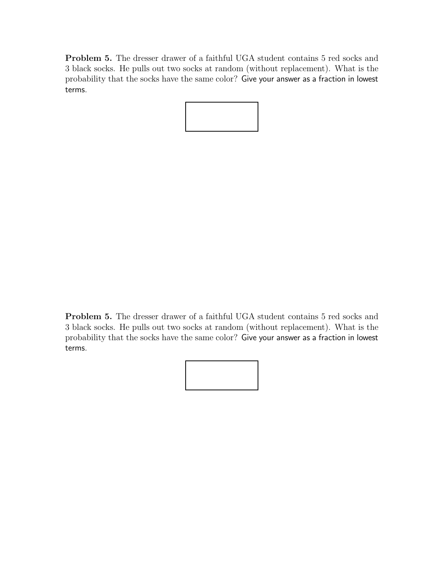Problem 5. The dresser drawer of a faithful UGA student contains 5 red socks and 3 black socks. He pulls out two socks at random (without replacement). What is the probability that the socks have the same color? Give your answer as a fraction in lowest terms.

Problem 5. The dresser drawer of a faithful UGA student contains 5 red socks and 3 black socks. He pulls out two socks at random (without replacement). What is the probability that the socks have the same color? Give your answer as a fraction in lowest terms.

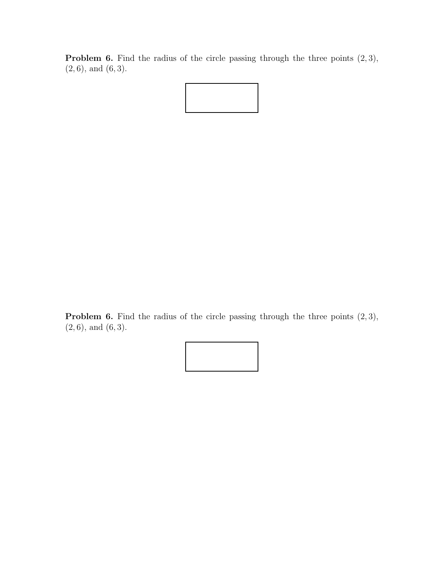**Problem 6.** Find the radius of the circle passing through the three points  $(2, 3)$ ,  $(2, 6)$ , and  $(6, 3)$ .



Problem 6. Find the radius of the circle passing through the three points  $(2, 3)$ ,  $(2, 6)$ , and  $(6, 3)$ .

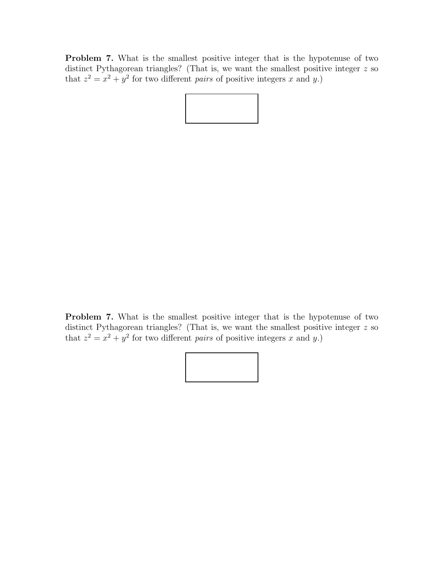Problem 7. What is the smallest positive integer that is the hypotenuse of two distinct Pythagorean triangles? (That is, we want the smallest positive integer z so that  $z^2 = x^2 + y^2$  for two different *pairs* of positive integers x and y.)

Problem 7. What is the smallest positive integer that is the hypotenuse of two distinct Pythagorean triangles? (That is, we want the smallest positive integer z so that  $z^2 = x^2 + y^2$  for two different *pairs* of positive integers x and y.)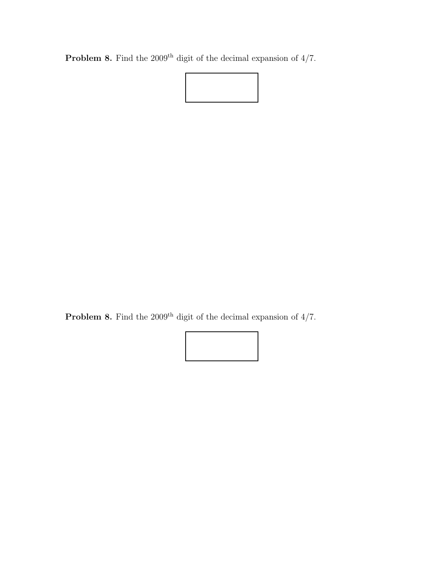**Problem 8.** Find the 2009<sup>th</sup> digit of the decimal expansion of  $4/7$ .



**Problem 8.** Find the 2009<sup>th</sup> digit of the decimal expansion of  $4/7$ .

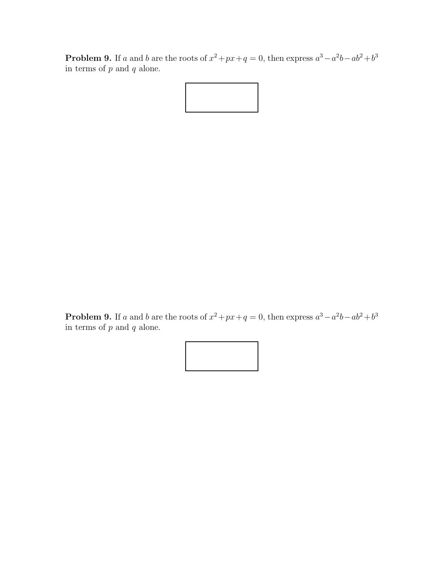**Problem 9.** If a and b are the roots of  $x^2 + px + q = 0$ , then express  $a^3 - a^2b - ab^2 + b^3$ in terms of  $p$  and  $q$  alone.



**Problem 9.** If a and b are the roots of  $x^2 + px + q = 0$ , then express  $a^3 - a^2b - ab^2 + b^3$ in terms of  $p$  and  $q$  alone.